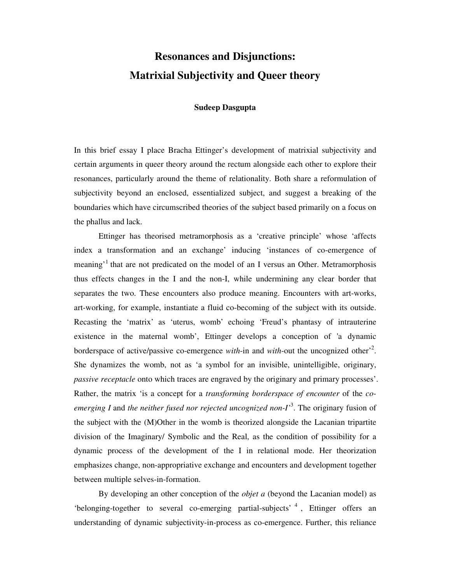# **Resonances and Disjunctions: Matrixial Subjectivity and Queer theory**

#### **Sudeep Dasgupta**

In this brief essay I place Bracha Ettinger's development of matrixial subjectivity and certain arguments in queer theory around the rectum alongside each other to explore their resonances, particularly around the theme of relationality. Both share a reformulation of subjectivity beyond an enclosed, essentialized subject, and suggest a breaking of the boundaries which have circumscribed theories of the subject based primarily on a focus on the phallus and lack.

 Ettinger has theorised metramorphosis as a 'creative principle' whose 'affects index a transformation and an exchange' inducing 'instances of co-emergence of meaning<sup>, 1</sup> that are not predicated on the model of an I versus an Other. Metramorphosis thus effects changes in the I and the non-I, while undermining any clear border that separates the two. These encounters also produce meaning. Encounters with art-works, art-working, for example, instantiate a fluid co-becoming of the subject with its outside. Recasting the 'matrix' as 'uterus, womb' echoing 'Freud's phantasy of intrauterine existence in the maternal womb', Ettinger develops a conception of 'a dynamic borderspace of active/passive co-emergence *with*-in and *with*-out the uncognized other<sup>2</sup>. She dynamizes the womb, not as 'a symbol for an invisible, unintelligible, originary, *passive receptacle* onto which traces are engraved by the originary and primary processes'. Rather, the matrix 'is a concept for a *transforming borderspace of encounter* of the *coemerging I* and *the neither fused nor rejected uncognized non-I'*<sup>3</sup> . The originary fusion of the subject with the (M)Other in the womb is theorized alongside the Lacanian tripartite division of the Imaginary/ Symbolic and the Real, as the condition of possibility for a dynamic process of the development of the I in relational mode. Her theorization emphasizes change, non-appropriative exchange and encounters and development together between multiple selves-in-formation.

 By developing an other conception of the *objet a* (beyond the Lacanian model) as 'belonging-together to several co-emerging partial-subjects'<sup>4</sup>, Ettinger offers an understanding of dynamic subjectivity-in-process as co-emergence. Further, this reliance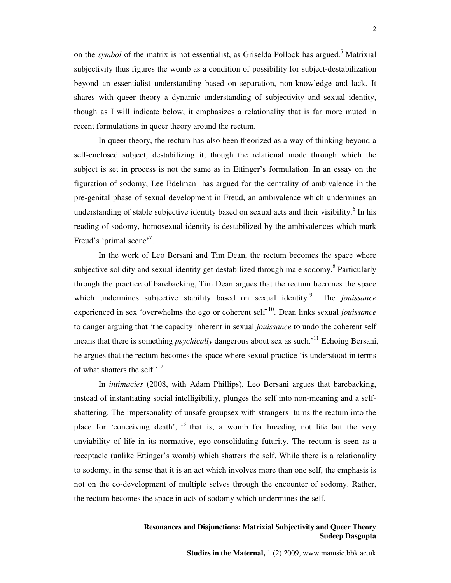on the *symbol* of the matrix is not essentialist, as Griselda Pollock has argued.<sup>5</sup> Matrixial subjectivity thus figures the womb as a condition of possibility for subject-destabilization beyond an essentialist understanding based on separation, non-knowledge and lack. It shares with queer theory a dynamic understanding of subjectivity and sexual identity, though as I will indicate below, it emphasizes a relationality that is far more muted in recent formulations in queer theory around the rectum.

 In queer theory, the rectum has also been theorized as a way of thinking beyond a self-enclosed subject, destabilizing it, though the relational mode through which the subject is set in process is not the same as in Ettinger's formulation. In an essay on the figuration of sodomy, Lee Edelman has argued for the centrality of ambivalence in the pre-genital phase of sexual development in Freud, an ambivalence which undermines an understanding of stable subjective identity based on sexual acts and their visibility.<sup>6</sup> In his reading of sodomy, homosexual identity is destabilized by the ambivalences which mark Freud's 'primal scene'<sup>7</sup>.

 In the work of Leo Bersani and Tim Dean, the rectum becomes the space where subjective solidity and sexual identity get destabilized through male sodomy.<sup>8</sup> Particularly through the practice of barebacking, Tim Dean argues that the rectum becomes the space which undermines subjective stability based on sexual identity<sup>9</sup>. The *jouissance* experienced in sex 'overwhelms the ego or coherent self'<sup>10</sup>. Dean links sexual *jouissance* to danger arguing that 'the capacity inherent in sexual *jouissance* to undo the coherent self means that there is something *psychically* dangerous about sex as such.'<sup>11</sup> Echoing Bersani, he argues that the rectum becomes the space where sexual practice 'is understood in terms of what shatters the self.'<sup>12</sup>

 In *intimacies* (2008, with Adam Phillips), Leo Bersani argues that barebacking, instead of instantiating social intelligibility, plunges the self into non-meaning and a selfshattering. The impersonality of unsafe groupsex with strangers turns the rectum into the place for 'conceiving death',  $^{13}$  that is, a womb for breeding not life but the very unviability of life in its normative, ego-consolidating futurity. The rectum is seen as a receptacle (unlike Ettinger's womb) which shatters the self. While there is a relationality to sodomy, in the sense that it is an act which involves more than one self, the emphasis is not on the co-development of multiple selves through the encounter of sodomy. Rather, the rectum becomes the space in acts of sodomy which undermines the self.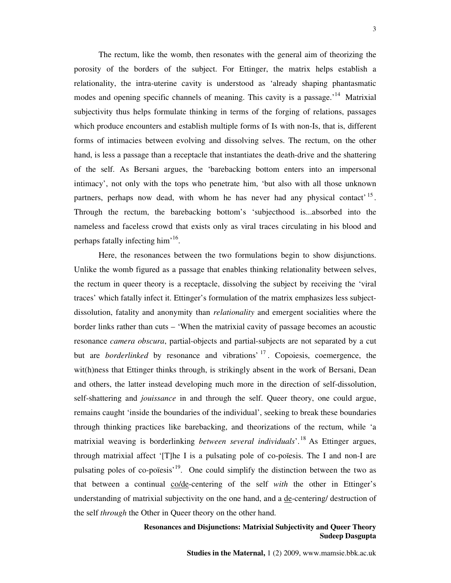The rectum, like the womb, then resonates with the general aim of theorizing the porosity of the borders of the subject. For Ettinger, the matrix helps establish a relationality, the intra-uterine cavity is understood as 'already shaping phantasmatic modes and opening specific channels of meaning. This cavity is a passage.<sup>'14</sup> Matrixial subjectivity thus helps formulate thinking in terms of the forging of relations, passages which produce encounters and establish multiple forms of Is with non-Is, that is, different forms of intimacies between evolving and dissolving selves. The rectum, on the other hand, is less a passage than a receptacle that instantiates the death-drive and the shattering of the self. As Bersani argues, the 'barebacking bottom enters into an impersonal intimacy', not only with the tops who penetrate him, 'but also with all those unknown partners, perhaps now dead, with whom he has never had any physical contact<sup>15</sup>. Through the rectum, the barebacking bottom's 'subjecthood is...absorbed into the nameless and faceless crowd that exists only as viral traces circulating in his blood and perhaps fatally infecting him<sup>'16</sup>.

 Here, the resonances between the two formulations begin to show disjunctions. Unlike the womb figured as a passage that enables thinking relationality between selves, the rectum in queer theory is a receptacle, dissolving the subject by receiving the 'viral traces' which fatally infect it. Ettinger's formulation of the matrix emphasizes less subjectdissolution, fatality and anonymity than *relationality* and emergent socialities where the border links rather than cuts – 'When the matrixial cavity of passage becomes an acoustic resonance *camera obscura*, partial-objects and partial-subjects are not separated by a cut but are *borderlinked* by resonance and vibrations' <sup>17</sup> . Copoiesis, coemergence, the wit(h)ness that Ettinger thinks through, is strikingly absent in the work of Bersani, Dean and others, the latter instead developing much more in the direction of self-dissolution, self-shattering and *jouissance* in and through the self. Queer theory, one could argue, remains caught 'inside the boundaries of the individual', seeking to break these boundaries through thinking practices like barebacking, and theorizations of the rectum, while 'a matrixial weaving is borderlinking *between several individuals*'.<sup>18</sup> As Ettinger argues, through matrixial affect  $[T]$ he I is a pulsating pole of co-poïesis. The I and non-I are pulsating poles of co-poïesis<sup>'19</sup>. One could simplify the distinction between the two as that between a continual co/de-centering of the self *with* the other in Ettinger's understanding of matrixial subjectivity on the one hand, and a de-centering/ destruction of the self *through* the Other in Queer theory on the other hand.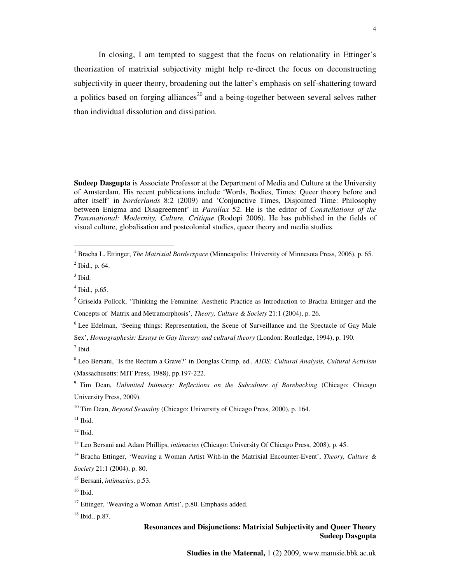In closing, I am tempted to suggest that the focus on relationality in Ettinger's theorization of matrixial subjectivity might help re-direct the focus on deconstructing subjectivity in queer theory, broadening out the latter's emphasis on self-shattering toward a politics based on forging alliances<sup>20</sup> and a being-together between several selves rather than individual dissolution and dissipation.

**Sudeep Dasgupta** is Associate Professor at the Department of Media and Culture at the University of Amsterdam. His recent publications include 'Words, Bodies, Times: Queer theory before and after itself' in *borderlands* 8:2 (2009) and 'Conjunctive Times, Disjointed Time: Philosophy between Enigma and Disagreement' in *Parallax* 52. He is the editor of *Constellations of the Transnational: Modernity, Culture, Critique* (Rodopi 2006). He has published in the fields of visual culture, globalisation and postcolonial studies, queer theory and media studies.

 $<sup>7</sup>$  Ibid.</sup>

8 Leo Bersani, 'Is the Rectum a Grave?' in Douglas Crimp, ed., *AIDS: Cultural Analysis, Cultural Activism*  (Massachusetts: MIT Press, 1988), pp.197-222.

<sup>9</sup> Tim Dean, *Unlimited Intimacy: Reflections on the Subculture of Barebacking (Chicago: Chicago* University Press, 2009).

<sup>13</sup> Leo Bersani and Adam Phillips, *intimacies* (Chicago: University Of Chicago Press, 2008), p. 45.

<sup>18</sup> Ibid., p.87.

<sup>&</sup>lt;sup>1</sup> Bracha L. Ettinger, *The Matrixial Borderspace* (Minneapolis: University of Minnesota Press, 2006), p. 65.

 $2$  Ibid., p. 64.

 $3$  Ibid.

 $<sup>4</sup>$  Ibid., p.65.</sup>

<sup>&</sup>lt;sup>5</sup> Griselda Pollock, 'Thinking the Feminine: Aesthetic Practice as Introduction to Bracha Ettinger and the Concepts of Matrix and Metramorphosis', *Theory, Culture & Society* 21:1 (2004), p. 26.

<sup>&</sup>lt;sup>6</sup> Lee Edelman, 'Seeing things: Representation, the Scene of Surveillance and the Spectacle of Gay Male Sex', *Homographesis: Essays in Gay literary and cultural theory* (London: Routledge, 1994), p. 190.

<sup>&</sup>lt;sup>10</sup> Tim Dean, *Beyond Sexuality* (Chicago: University of Chicago Press, 2000), p. 164.

 $11$  Ibid.

 $12$  Ibid.

<sup>14</sup> Bracha Ettinger, 'Weaving a Woman Artist With-in the Matrixial Encounter-Event', *Theory, Culture & Society* 21:1 (2004), p. 80.

<sup>15</sup> Bersani, *intimacies*, p.53.

 $16$  Ibid.

 $17$  Ettinger, 'Weaving a Woman Artist', p.80. Emphasis added.